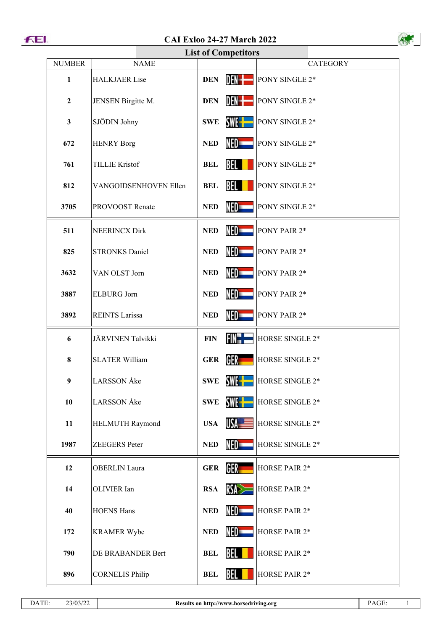

## **CAI Exloo 24-27 March 2022**

| <b>CAI Exloo 24-27 March 2022</b> |                        |                                    |                        |  |  |  |
|-----------------------------------|------------------------|------------------------------------|------------------------|--|--|--|
| <b>List of Competitors</b>        |                        |                                    |                        |  |  |  |
| <b>NUMBER</b>                     | <b>NAME</b>            |                                    | <b>CATEGORY</b>        |  |  |  |
| $\mathbf{1}$                      | <b>HALKJAER Lise</b>   | DEN-I<br><b>DEN</b>                | PONY SINGLE 2*         |  |  |  |
| $\boldsymbol{2}$                  | JENSEN Birgitte M.     | DEN- <del>t</del><br><b>DEN</b>    | PONY SINGLE 2*         |  |  |  |
| $\mathbf{3}$                      | SJÖDIN Johny           | SWE <b>H</b><br><b>SWE</b>         | PONY SINGLE 2*         |  |  |  |
| 672                               | <b>HENRY Borg</b>      | NED=<br><b>NED</b>                 | PONY SINGLE 2*         |  |  |  |
| 761                               | <b>TILLIE Kristof</b>  | BEL<br><b>BEL</b>                  | PONY SINGLE 2*         |  |  |  |
| 812                               | VANGOIDSENHOVEN Ellen  | BEL<br><b>BEL</b>                  | PONY SINGLE 2*         |  |  |  |
| 3705                              | <b>PROVOOST Renate</b> | NED<br><b>NED</b>                  | PONY SINGLE 2*         |  |  |  |
| 511                               | <b>NEERINCX Dirk</b>   | NED=<br><b>NED</b>                 | PONY PAIR 2*           |  |  |  |
| 825                               | <b>STRONKS Daniel</b>  | NED<br><b>NED</b>                  | PONY PAIR 2*           |  |  |  |
| 3632                              | VAN OLST Jorn          | NED <b>warehouse</b><br><b>NED</b> | PONY PAIR 2*           |  |  |  |
| 3887                              | <b>ELBURG Jorn</b>     | NED=<br><b>NED</b>                 | PONY PAIR 2*           |  |  |  |
| 3892                              | <b>REINTS Larissa</b>  | NED<br><b>NED</b>                  | PONY PAIR 2*           |  |  |  |
| 6                                 | JÄRVINEN Talvikki      | FIN-H<br><b>FIN</b>                | HORSE SINGLE 2*        |  |  |  |
| 8                                 | <b>SLATER William</b>  | GER<br><b>GER</b>                  | HORSE SINGLE 2*        |  |  |  |
| $\boldsymbol{9}$                  | <b>LARSSON</b> Åke     | SWE -<br><b>SWE</b>                | HORSE SINGLE 2*        |  |  |  |
| 10                                | <b>LARSSON</b> Åke     | SWE-<br><b>SWE</b>                 | HORSE SINGLE 2*        |  |  |  |
| 11                                | HELMUTH Raymond        | USA <del>- T</del><br><b>USA</b>   | HORSE SINGLE 2*        |  |  |  |
| 1987                              | <b>ZEEGERS</b> Peter   | NED <b>war</b><br><b>NED</b>       | <b>HORSE SINGLE 2*</b> |  |  |  |
| 12                                | <b>OBERLIN</b> Laura   | GER<br><b>GER</b>                  | HORSE PAIR 2*          |  |  |  |
| 14                                | OLIVIER Ian            | RS<br><b>RSA</b>                   | HORSE PAIR 2*          |  |  |  |
| 40                                | <b>HOENS Hans</b>      | NED=<br><b>NED</b>                 | HORSE PAIR 2*          |  |  |  |
| 172                               | <b>KRAMER Wybe</b>     | NED<br><b>NED</b>                  | HORSE PAIR 2*          |  |  |  |
| 790                               | DE BRABANDER Bert      | BEL<br><b>BEL</b>                  | <b>HORSE PAIR 2*</b>   |  |  |  |
| 896                               | <b>CORNELIS Philip</b> | BEL I<br><b>BEL</b>                | HORSE PAIR 2*          |  |  |  |
|                                   |                        |                                    |                        |  |  |  |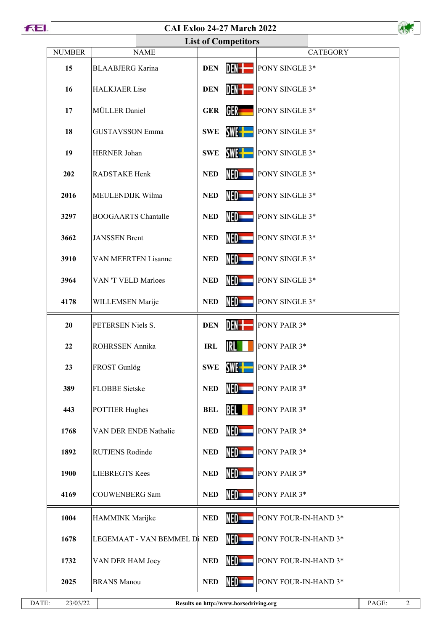## **CAI Exloo 24-27 March 2022**

| 1. |               | <b>CAI Exloo 24-27 March 2022</b> |                            |                      |                      |  |
|----|---------------|-----------------------------------|----------------------------|----------------------|----------------------|--|
|    |               |                                   | <b>List of Competitors</b> |                      |                      |  |
|    | <b>NUMBER</b> | <b>NAME</b>                       |                            |                      | <b>CATEGORY</b>      |  |
|    | 15            | <b>BLAABJERG</b> Karina           | <b>DEN</b>                 | DEN-I                | PONY SINGLE 3*       |  |
|    | 16            | <b>HALKJAER Lise</b>              | <b>DEN</b>                 | DEN-I                | PONY SINGLE 3*       |  |
|    | 17            | MÜLLER Daniel                     | <b>GER</b>                 | GER                  | PONY SINGLE 3*       |  |
|    | 18            | <b>GUSTAVSSON Emma</b>            | <b>SWE</b>                 | SWE-                 | PONY SINGLE 3*       |  |
|    | 19            | HERNER Johan                      | <b>SWE</b>                 | SWE -                | PONY SINGLE 3*       |  |
|    | 202           | RADSTAKE Henk                     | <b>NED</b>                 | NED-                 | PONY SINGLE 3*       |  |
|    | 2016          | MEULENDIJK Wilma                  | <b>NED</b>                 | NED=                 | PONY SINGLE 3*       |  |
|    | 3297          | <b>BOOGAARTS</b> Chantalle        | <b>NED</b>                 | NED-                 | PONY SINGLE 3*       |  |
|    | 3662          | <b>JANSSEN</b> Brent              | <b>NED</b>                 | NED=                 | PONY SINGLE 3*       |  |
|    | 3910          | VAN MEERTEN Lisanne               | <b>NED</b>                 | NED-                 | PONY SINGLE 3*       |  |
|    | 3964          | VAN 'T VELD Marloes               | <b>NED</b>                 | NED=                 | PONY SINGLE 3*       |  |
|    | 4178          | WILLEMSEN Marije                  | <b>NED</b>                 | NED=                 | PONY SINGLE 3*       |  |
|    | 20            | PETERSEN Niels S.                 | <b>DEN</b>                 | DEN-I                | PONY PAIR 3*         |  |
|    | 22            | ROHRSSEN Annika                   | <b>IRL</b>                 | <b>IRL</b>           | PONY PAIR 3*         |  |
|    | 23            | FROST Gunlög                      | <b>SWE</b>                 | SWE - -              | PONY PAIR 3*         |  |
|    | 389           | <b>FLOBBE</b> Sietske             | <b>NED</b>                 | NED-                 | PONY PAIR 3*         |  |
|    | 443           | <b>POTTIER Hughes</b>             | <b>BEL</b>                 | <b>BEL</b>           | PONY PAIR 3*         |  |
|    | 1768          | VAN DER ENDE Nathalie             | <b>NED</b>                 | NED                  | PONY PAIR 3*         |  |
|    | 1892          | <b>RUTJENS Rodinde</b>            | <b>NED</b>                 | NED=                 | PONY PAIR 3*         |  |
|    | 1900          | <b>LIEBREGTS Kees</b>             | <b>NED</b>                 | NED-                 | PONY PAIR 3*         |  |
|    | 4169          | <b>COUWENBERG Sam</b>             | <b>NED</b>                 | NED=                 | PONY PAIR 3*         |  |
|    | 1004          | HAMMINK Marijke                   | <b>NED</b>                 | NED <b>warehouse</b> | PONY FOUR-IN-HAND 3* |  |
|    | 1678          | LEGEMAAT - VAN BEMMEL Di NED      |                            | NED-                 | PONY FOUR-IN-HAND 3* |  |
|    | 1732          | VAN DER HAM Joey                  | <b>NED</b>                 | NED <b>war</b>       | PONY FOUR-IN-HAND 3* |  |
|    | 2025          | <b>BRANS</b> Manou                | <b>NED</b>                 | NED                  | PONY FOUR-IN-HAND 3* |  |
|    |               |                                   |                            |                      |                      |  |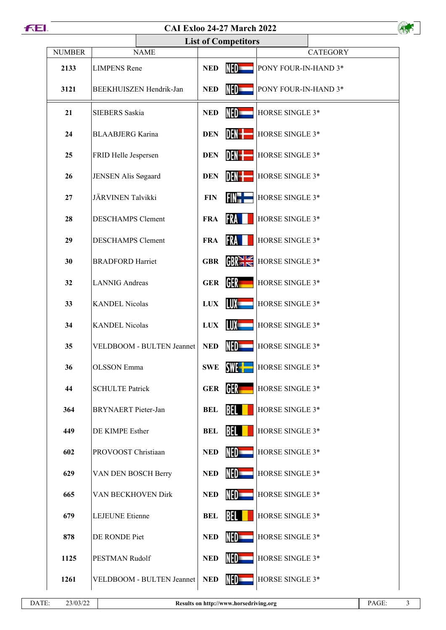## **CAI Exloo 24-27 March 2022**

| <b>CAI Exloo 24-27 March 2022</b> |                            |            |                   |                      |  |  |  |  |
|-----------------------------------|----------------------------|------------|-------------------|----------------------|--|--|--|--|
| <b>List of Competitors</b>        |                            |            |                   |                      |  |  |  |  |
| <b>NUMBER</b>                     | <b>NAME</b>                |            |                   | <b>CATEGORY</b>      |  |  |  |  |
| 2133                              | <b>LIMPENS</b> Rene        | <b>NED</b> | NED               | PONY FOUR-IN-HAND 3* |  |  |  |  |
| 3121                              | BEEKHUISZEN Hendrik-Jan    | <b>NED</b> | NED=              | PONY FOUR-IN-HAND 3* |  |  |  |  |
| 21                                | SIEBERS Saskia             | <b>NED</b> | NED=              | HORSE SINGLE 3*      |  |  |  |  |
| 24                                | <b>BLAABJERG</b> Karina    | <b>DEN</b> | DEN- <del>l</del> | HORSE SINGLE 3*      |  |  |  |  |
| 25                                | FRID Helle Jespersen       | <b>DEN</b> | DEN-I             | HORSE SINGLE 3*      |  |  |  |  |
| 26                                | JENSEN Alis Søgaard        | <b>DEN</b> | DEN- <del>l</del> | HORSE SINGLE 3*      |  |  |  |  |
| 27                                | JÄRVINEN Talvikki          | <b>FIN</b> | FIN" =            | HORSE SINGLE 3*      |  |  |  |  |
| 28                                | <b>DESCHAMPS Clement</b>   | <b>FRA</b> | <b>FRA</b>        | HORSE SINGLE 3*      |  |  |  |  |
| 29                                | <b>DESCHAMPS Clement</b>   | <b>FRA</b> | FRA               | HORSE SINGLE 3*      |  |  |  |  |
| 30                                | <b>BRADFORD Harriet</b>    | <b>GBR</b> | GR <sub>1</sub>   | HORSE SINGLE 3*      |  |  |  |  |
| 32                                | <b>LANNIG</b> Andreas      | <b>GER</b> | GER –             | HORSE SINGLE 3*      |  |  |  |  |
| 33                                | <b>KANDEL Nicolas</b>      | <b>LUX</b> | LUX —             | HORSE SINGLE 3*      |  |  |  |  |
| 34                                | <b>KANDEL Nicolas</b>      | <b>LUX</b> | LUX -             | HORSE SINGLE 3*      |  |  |  |  |
| 35                                | VELDBOOM - BULTEN Jeannet  | <b>NED</b> | NED=              | HORSE SINGLE 3*      |  |  |  |  |
| 36                                | <b>OLSSON</b> Emma         | <b>SWE</b> | SWE -             | HORSE SINGLE 3*      |  |  |  |  |
| 44                                | <b>SCHULTE Patrick</b>     | <b>GER</b> | GER –             | HORSE SINGLE 3*      |  |  |  |  |
| 364                               | <b>BRYNAERT</b> Pieter-Jan | <b>BEL</b> | BEL I             | HORSE SINGLE 3*      |  |  |  |  |
| 449                               | DE KIMPE Esther            | <b>BEL</b> | BEL               | HORSE SINGLE 3*      |  |  |  |  |
| 602                               | PROVOOST Christiaan        | <b>NED</b> | NED               | HORSE SINGLE 3*      |  |  |  |  |
| 629                               | VAN DEN BOSCH Berry        | <b>NED</b> | NED -             | HORSE SINGLE 3*      |  |  |  |  |
| 665                               | VAN BECKHOVEN Dirk         | <b>NED</b> | NED               | HORSE SINGLE 3*      |  |  |  |  |
| 679                               | <b>LEJEUNE</b> Etienne     | <b>BEL</b> | <b>BEL</b>        | HORSE SINGLE 3*      |  |  |  |  |
| 878                               | DE RONDE Piet              | <b>NED</b> | NED-              | HORSE SINGLE 3*      |  |  |  |  |
| 1125                              | PESTMAN Rudolf             | <b>NED</b> | NED               | HORSE SINGLE 3*      |  |  |  |  |
| 1261                              | VELDBOOM - BULTEN Jeannet  | <b>NED</b> | NED -             | HORSE SINGLE 3*      |  |  |  |  |